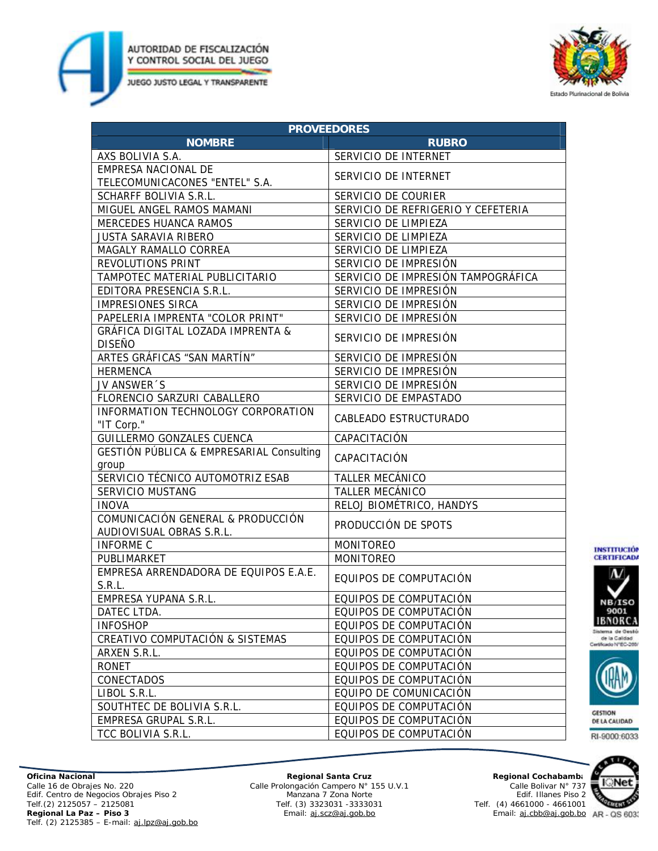



| <b>PROVEEDORES</b>                                            |                                    |
|---------------------------------------------------------------|------------------------------------|
| <b>NOMBRE</b>                                                 | <b>RUBRO</b>                       |
| AXS BOLIVIA S.A.                                              | SERVICIO DE INTERNET               |
| EMPRESA NACIONAL DE                                           | SERVICIO DE INTERNET               |
| TELECOMUNICACONES "ENTEL" S.A.                                |                                    |
| SCHARFF BOLIVIA S.R.L.                                        | SERVICIO DE COURIER                |
| MIGUEL ANGEL RAMOS MAMANI                                     | SERVICIO DE REFRIGERIO Y CEFETERIA |
| <b>MERCEDES HUANCA RAMOS</b>                                  | SERVICIO DE LIMPIEZA               |
| <b>JUSTA SARAVIA RIBERO</b>                                   | SERVICIO DE LIMPIEZA               |
| MAGALY RAMALLO CORREA                                         | SERVICIO DE LIMPIEZA               |
| REVOLUTIONS PRINT                                             | SERVICIO DE IMPRESIÓN              |
| TAMPOTEC MATERIAL PUBLICITARIO                                | SERVICIO DE IMPRESIÓN TAMPOGRÁFICA |
| EDITORA PRESENCIA S.R.L.                                      | SERVICIO DE IMPRESIÓN              |
| <b>IMPRESIONES SIRCA</b>                                      | SERVICIO DE IMPRESIÓN              |
| PAPELERIA IMPRENTA "COLOR PRINT"                              | SERVICIO DE IMPRESIÓN              |
| <b>GRÁFICA DIGITAL LOZADA IMPRENTA &amp;</b><br><b>DISEÑO</b> | SERVICIO DE IMPRESIÓN              |
| ARTES GRÁFICAS "SAN MARTÍN"                                   |                                    |
|                                                               | SERVICIO DE IMPRESIÓN              |
| <b>HERMENCA</b>                                               | SERVICIO DE IMPRESIÓN              |
| JV ANSWER 'S                                                  | SERVICIO DE IMPRESIÓN              |
| FLORENCIO SARZURI CABALLERO                                   | SERVICIO DE EMPASTADO              |
| INFORMATION TECHNOLOGY CORPORATION<br>"IT Corp."              | <b>CABLEADO ESTRUCTURADO</b>       |
| <b>GUILLERMO GONZALES CUENCA</b>                              | CAPACITACIÓN                       |
| GESTIÓN PÚBLICA & EMPRESARIAL Consulting                      | CAPACITACIÓN                       |
| group<br>SERVICIO TÉCNICO AUTOMOTRIZ ESAB                     | <b>TALLER MECÁNICO</b>             |
| <b>SERVICIO MUSTANG</b>                                       | <b>TALLER MECÁNICO</b>             |
| <b>INOVA</b>                                                  | RELOJ BIOMÉTRICO, HANDYS           |
| COMUNICACIÓN GENERAL & PRODUCCIÓN                             |                                    |
| AUDIOVISUAL OBRAS S.R.L.                                      | PRODUCCIÓN DE SPOTS                |
| <b>INFORME C</b>                                              | <b>MONITOREO</b>                   |
| PUBLIMARKET                                                   | <b>MONITOREO</b>                   |
| EMPRESA ARRENDADORA DE EQUIPOS E.A.E.<br>S.R.L.               | EQUIPOS DE COMPUTACIÓN             |
| EMPRESA YUPANA S.R.L.                                         | EQUIPOS DE COMPUTACIÓN             |
| DATEC LTDA.                                                   | EQUIPOS DE COMPUTACIÓN             |
| <b>INFOSHOP</b>                                               | EQUIPOS DE COMPUTACIÓN             |
| CREATIVO COMPUTACIÓN & SISTEMAS                               | EQUIPOS DE COMPUTACIÓN             |
| ARXEN S.R.L.                                                  | EQUIPOS DE COMPUTACIÓN             |
| RONET                                                         | EQUIPOS DE COMPUTACIÓN             |
| CONECTADOS                                                    | EQUIPOS DE COMPUTACIÓN             |
| LIBOL S.R.L.                                                  | EQUIPO DE COMUNICACIÓN             |
| SOUTHTEC DE BOLIVIA S.R.L.                                    | EQUIPOS DE COMPUTACIÓN             |
| EMPRESA GRUPAL S.R.L.                                         | EQUIPOS DE COMPUTACIÓN             |
| TCC BOLIVIA S.R.L.                                            | EQUIPOS DE COMPUTACIÓN             |





Sistema de Gestó de la Calidad<br>Certificado NºEC-2001



**GESTION** DE LA CALIDAD RI-9000:6033

**Oficina Nacional**  Calle 16 de Obrajes No. 220 Edif. Centro de Negocios Obrajes Piso 2 Telf.(2) 2125057 – 2125081 **Regional La Paz – Piso 3**  Telf. (2) 2125385 – E-mail: [aj.lpz@aj.gob.bo](mailto:aj.lpz@aj.gob.bo)

**Regional Santa Cruz** Calle Prolongación Campero N° 155 U.V.1 Manzana 7 Zona Norte Telf. (3) 3323031 -3333031 Email: [aj.scz@aj.gob.bo](mailto:aj.scz@aj.gob.bo)

Calle Bolivar N° 737 Edif. Illanes Piso 2 Telf. (4) 4661000 - 4661001 Email: [aj.cbb@aj.gob.bo](mailto:aj.cbb@aj.gob.bo)